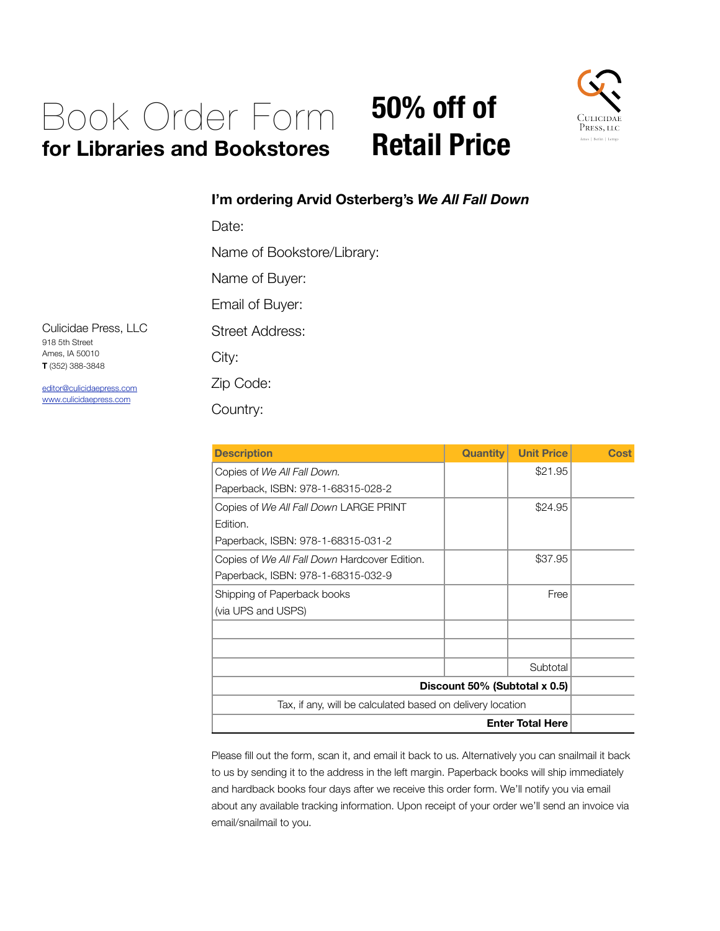## Book Order Form **for Libraries and Bookstores**

## **50% off of Retail Price**



## **I'm ordering Arvid Osterberg's** *We All Fall Down*

Date:

Name of Bookstore/Library:

Name of Buyer:

Email of Buyer:

Street Address:

City:

Zip Code:

Country:

| <b>Description</b>                                         | <b>Quantity</b> | <b>Unit Price</b> | Cost |
|------------------------------------------------------------|-----------------|-------------------|------|
| Copies of We All Fall Down.                                |                 | \$21.95           |      |
| Paperback, ISBN: 978-1-68315-028-2                         |                 |                   |      |
| Copies of We All Fall Down LARGE PRINT                     |                 | \$24.95           |      |
| Edition.                                                   |                 |                   |      |
| Paperback, ISBN: 978-1-68315-031-2                         |                 |                   |      |
| Copies of We All Fall Down Hardcover Edition.              |                 | \$37.95           |      |
| Paperback, ISBN: 978-1-68315-032-9                         |                 |                   |      |
| Shipping of Paperback books                                |                 | Free              |      |
| (via UPS and USPS)                                         |                 |                   |      |
|                                                            |                 |                   |      |
|                                                            |                 |                   |      |
|                                                            |                 | Subtotal          |      |
| Discount 50% (Subtotal x 0.5)                              |                 |                   |      |
| Tax, if any, will be calculated based on delivery location |                 |                   |      |
| <b>Enter Total Here</b>                                    |                 |                   |      |

Please fill out the form, scan it, and email it back to us. Alternatively you can snailmail it back to us by sending it to the address in the left margin. Paperback books will ship immediately and hardback books four days after we receive this order form. We'll notify you via email about any available tracking information. Upon receipt of your order we'll send an invoice via email/snailmail to you.

Culicidae Press, LLC 918 5th Street Ames, IA 50010 **T** (352) 388-3848

[editor@culicidaepress.com](mailto:editor@culicidaepress.com) [www.culicidaepress.com](http://www.culicidaepress.com)